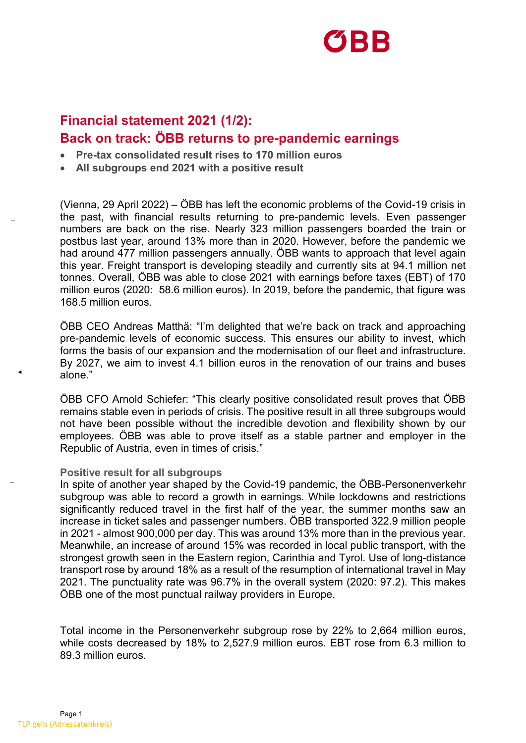

## **Financial statement 2021 (1/2): Back on track: ÖBB returns to pre-pandemic earnings**

- **Pre-tax consolidated result rises to 170 million euros**
- **All subgroups end 2021 with a positive result**

(Vienna, 29 April 2022) – ÖBB has left the economic problems of the Covid-19 crisis in the past, with financial results returning to pre-pandemic levels. Even passenger numbers are back on the rise. Nearly 323 million passengers boarded the train or postbus last year, around 13% more than in 2020. However, before the pandemic we had around 477 million passengers annually. ÖBB wants to approach that level again this year. Freight transport is developing steadily and currently sits at 94.1 million net tonnes. Overall, ÖBB was able to close 2021 with earnings before taxes (EBT) of 170 million euros (2020: 58.6 million euros). In 2019, before the pandemic, that figure was 168.5 million euros.

ÖBB CEO Andreas Matthä: "I'm delighted that we're back on track and approaching pre-pandemic levels of economic success. This ensures our ability to invest, which forms the basis of our expansion and the modernisation of our fleet and infrastructure. By 2027, we aim to invest 4.1 billion euros in the renovation of our trains and buses alone."

ÖBB CFO Arnold Schiefer: "This clearly positive consolidated result proves that ÖBB remains stable even in periods of crisis. The positive result in all three subgroups would not have been possible without the incredible devotion and flexibility shown by our employees. ÖBB was able to prove itself as a stable partner and employer in the Republic of Austria, even in times of crisis."

#### **Positive result for all subgroups**

In spite of another year shaped by the Covid-19 pandemic, the ÖBB-Personenverkehr subgroup was able to record a growth in earnings. While lockdowns and restrictions significantly reduced travel in the first half of the year, the summer months saw an increase in ticket sales and passenger numbers. ÖBB transported 322.9 million people in 2021 - almost 900,000 per day. This was around 13% more than in the previous year. Meanwhile, an increase of around 15% was recorded in local public transport, with the strongest growth seen in the Eastern region, Carinthia and Tyrol. Use of long-distance transport rose by around 18% as a result of the resumption of international travel in May 2021. The punctuality rate was 96.7% in the overall system (2020: 97.2). This makes ÖBB one of the most punctual railway providers in Europe.

Total income in the Personenverkehr subgroup rose by 22% to 2,664 million euros, while costs decreased by 18% to 2,527.9 million euros. EBT rose from 6.3 million to 89.3 million euros.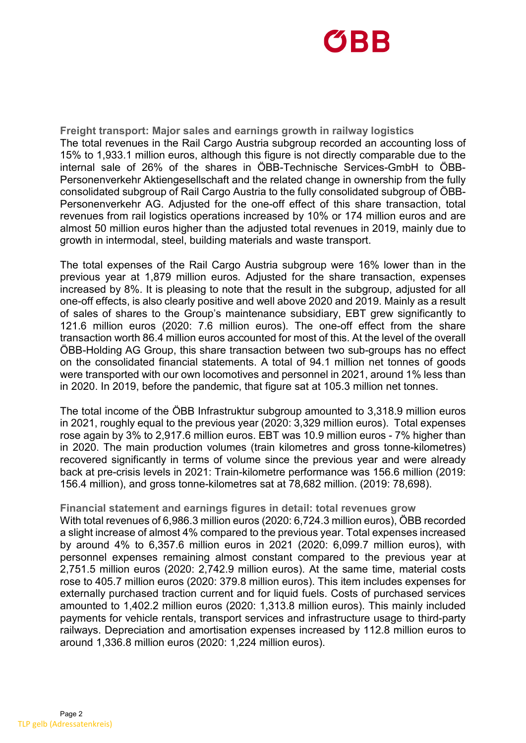

**Freight transport: Major sales and earnings growth in railway logistics**  The total revenues in the Rail Cargo Austria subgroup recorded an accounting loss of 15% to 1,933.1 million euros, although this figure is not directly comparable due to the internal sale of 26% of the shares in ÖBB-Technische Services-GmbH to ÖBB-Personenverkehr Aktiengesellschaft and the related change in ownership from the fully consolidated subgroup of Rail Cargo Austria to the fully consolidated subgroup of ÖBB-Personenverkehr AG. Adjusted for the one-off effect of this share transaction, total revenues from rail logistics operations increased by 10% or 174 million euros and are almost 50 million euros higher than the adjusted total revenues in 2019, mainly due to growth in intermodal, steel, building materials and waste transport.

The total expenses of the Rail Cargo Austria subgroup were 16% lower than in the previous year at 1,879 million euros. Adjusted for the share transaction, expenses increased by 8%. It is pleasing to note that the result in the subgroup, adjusted for all one-off effects, is also clearly positive and well above 2020 and 2019. Mainly as a result of sales of shares to the Group's maintenance subsidiary, EBT grew significantly to 121.6 million euros (2020: 7.6 million euros). The one-off effect from the share transaction worth 86.4 million euros accounted for most of this. At the level of the overall ÖBB-Holding AG Group, this share transaction between two sub-groups has no effect on the consolidated financial statements. A total of 94.1 million net tonnes of goods were transported with our own locomotives and personnel in 2021, around 1% less than in 2020. In 2019, before the pandemic, that figure sat at 105.3 million net tonnes.

The total income of the ÖBB Infrastruktur subgroup amounted to 3,318.9 million euros in 2021, roughly equal to the previous year (2020: 3,329 million euros). Total expenses rose again by 3% to 2,917.6 million euros. EBT was 10.9 million euros - 7% higher than in 2020. The main production volumes (train kilometres and gross tonne-kilometres) recovered significantly in terms of volume since the previous year and were already back at pre-crisis levels in 2021: Train-kilometre performance was 156.6 million (2019: 156.4 million), and gross tonne-kilometres sat at 78,682 million. (2019: 78,698).

### **Financial statement and earnings figures in detail: total revenues grow**

With total revenues of 6,986.3 million euros (2020: 6,724.3 million euros), ÖBB recorded a slight increase of almost 4% compared to the previous year. Total expenses increased by around 4% to 6,357.6 million euros in 2021 (2020: 6,099.7 million euros), with personnel expenses remaining almost constant compared to the previous year at 2,751.5 million euros (2020: 2,742.9 million euros). At the same time, material costs rose to 405.7 million euros (2020: 379.8 million euros). This item includes expenses for externally purchased traction current and for liquid fuels. Costs of purchased services amounted to 1,402.2 million euros (2020: 1,313.8 million euros). This mainly included payments for vehicle rentals, transport services and infrastructure usage to third-party railways. Depreciation and amortisation expenses increased by 112.8 million euros to around 1,336.8 million euros (2020: 1,224 million euros).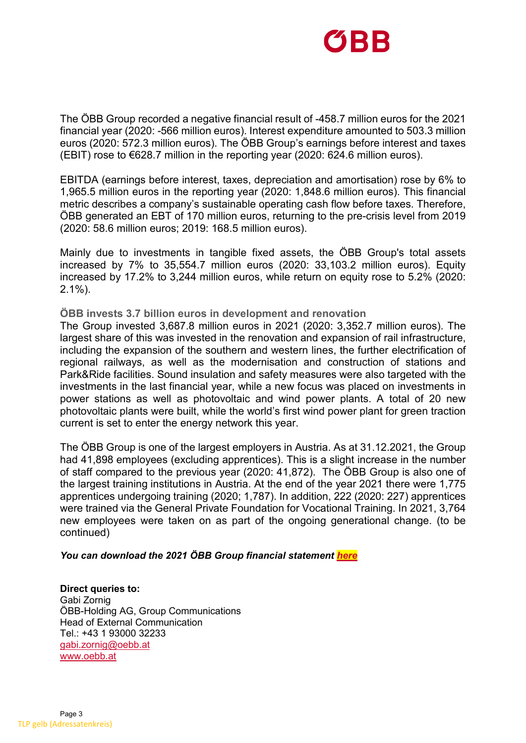

The ÖBB Group recorded a negative financial result of -458.7 million euros for the 2021 financial year (2020: -566 million euros). Interest expenditure amounted to 503.3 million euros (2020: 572.3 million euros). The ÖBB Group's earnings before interest and taxes (EBIT) rose to €628.7 million in the reporting year (2020: 624.6 million euros).

EBITDA (earnings before interest, taxes, depreciation and amortisation) rose by 6% to 1,965.5 million euros in the reporting year (2020: 1,848.6 million euros). This financial metric describes a company's sustainable operating cash flow before taxes. Therefore, ÖBB generated an EBT of 170 million euros, returning to the pre-crisis level from 2019 (2020: 58.6 million euros; 2019: 168.5 million euros).

Mainly due to investments in tangible fixed assets, the ÖBB Group's total assets increased by 7% to 35,554.7 million euros (2020: 33,103.2 million euros). Equity increased by 17.2% to 3,244 million euros, while return on equity rose to 5.2% (2020: 2.1%).

**ÖBB invests 3.7 billion euros in development and renovation** 

The Group invested 3,687.8 million euros in 2021 (2020: 3,352.7 million euros). The largest share of this was invested in the renovation and expansion of rail infrastructure, including the expansion of the southern and western lines, the further electrification of regional railways, as well as the modernisation and construction of stations and Park&Ride facilities. Sound insulation and safety measures were also targeted with the investments in the last financial year, while a new focus was placed on investments in power stations as well as photovoltaic and wind power plants. A total of 20 new photovoltaic plants were built, while the world's first wind power plant for green traction current is set to enter the energy network this year.

The ÖBB Group is one of the largest employers in Austria. As at 31.12.2021, the Group had 41,898 employees (excluding apprentices). This is a slight increase in the number of staff compared to the previous year (2020: 41,872). The ÖBB Group is also one of the largest training institutions in Austria. At the end of the year 2021 there were 1,775 apprentices undergoing training (2020; 1,787). In addition, 222 (2020: 227) apprentices were trained via the General Private Foundation for Vocational Training. In 2021, 3,764 new employees were taken on as part of the ongoing generational change. (to be continued)

### *You can download the 2021 ÖBB Group financial statement [here](https://konzern.oebb.at/gb2021)*

**Direct queries to:** Gabi Zornig ÖBB-Holding AG, Group Communications Head of External Communication Tel.: +43 1 93000 32233 [gabi.zornig@oebb.at](mailto:gabi.zornig@oebb.at) [www.oebb.at](http://www.oebb.at/)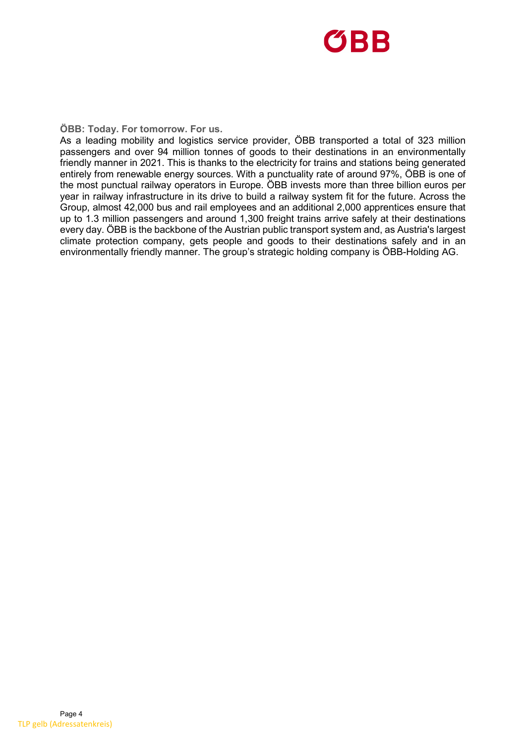

**ÖBB: Today. For tomorrow. For us.**

As a leading mobility and logistics service provider, ÖBB transported a total of 323 million passengers and over 94 million tonnes of goods to their destinations in an environmentally friendly manner in 2021. This is thanks to the electricity for trains and stations being generated entirely from renewable energy sources. With a punctuality rate of around 97%, ÖBB is one of the most punctual railway operators in Europe. ÖBB invests more than three billion euros per year in railway infrastructure in its drive to build a railway system fit for the future. Across the Group, almost 42,000 bus and rail employees and an additional 2,000 apprentices ensure that up to 1.3 million passengers and around 1,300 freight trains arrive safely at their destinations every day. ÖBB is the backbone of the Austrian public transport system and, as Austria's largest climate protection company, gets people and goods to their destinations safely and in an environmentally friendly manner. The group's strategic holding company is ÖBB-Holding AG.